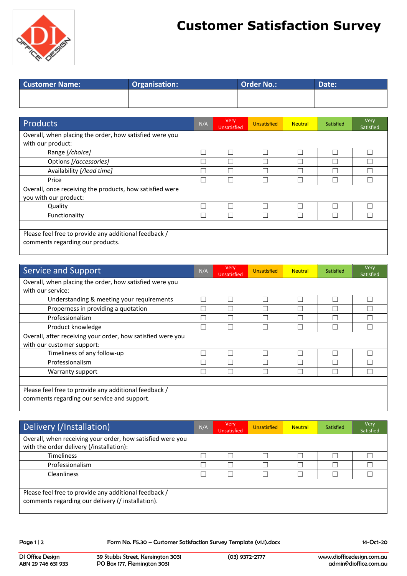

## **Customer Satisfaction Survey**

| <b>Customer Name:</b> | <b>Organisation:</b> | <b>Order No.:</b> | <b>Date:</b> |
|-----------------------|----------------------|-------------------|--------------|
|                       |                      |                   |              |
|                       |                      |                   |              |

| Products                                                                                  | N/A          | Very<br><b>Unsatisfied</b> | <b>Unsatisfied</b> | <b>Neutral</b> | Satisfied | Very<br>Satisfied |
|-------------------------------------------------------------------------------------------|--------------|----------------------------|--------------------|----------------|-----------|-------------------|
| Overall, when placing the order, how satisfied were you<br>with our product:              |              |                            |                    |                |           |                   |
| Range [/choice]                                                                           | L            |                            |                    |                |           |                   |
| Options [/accessories]                                                                    | Г            | Г                          |                    |                |           |                   |
| Availability [/lead time]                                                                 | $\Box$       |                            |                    |                |           |                   |
| Price                                                                                     | П            |                            |                    |                |           |                   |
| Overall, once receiving the products, how satisfied were<br>you with our product:         |              |                            |                    |                |           |                   |
| Quality                                                                                   | Г            |                            |                    |                |           |                   |
| Functionality                                                                             | $\mathbf{L}$ |                            |                    |                |           |                   |
|                                                                                           |              |                            |                    |                |           |                   |
| Please feel free to provide any additional feedback /<br>comments regarding our products. |              |                            |                    |                |           |                   |

| Service and Support                                         | N/A | Very<br><b>Unsatisfied</b> | <b>Unsatisfied</b> | <b>Neutral</b> | Satisfied | Very<br>Satisfied |
|-------------------------------------------------------------|-----|----------------------------|--------------------|----------------|-----------|-------------------|
| Overall, when placing the order, how satisfied were you     |     |                            |                    |                |           |                   |
| with our service:                                           |     |                            |                    |                |           |                   |
| Understanding & meeting your requirements                   | ┌   | г                          | П                  |                | Ξ         |                   |
| Properness in providing a quotation                         | H   |                            |                    |                |           |                   |
| Professionalism                                             | П   | г                          |                    |                |           |                   |
| Product knowledge                                           | П   |                            |                    |                |           |                   |
| Overall, after receiving your order, how satisfied were you |     |                            |                    |                |           |                   |
| with our customer support:                                  |     |                            |                    |                |           |                   |
| Timeliness of any follow-up                                 | L   | г                          | $\vert \ \ \vert$  |                |           |                   |
| Professionalism                                             | Г   |                            |                    |                |           |                   |
| Warranty support                                            | Г   |                            |                    |                |           |                   |
|                                                             |     |                            |                    |                |           |                   |
| Please feel free to provide any additional feedback /       |     |                            |                    |                |           |                   |
| comments regarding our service and support.                 |     |                            |                    |                |           |                   |
|                                                             |     |                            |                    |                |           |                   |

| Delivery (/Installation)                                                                                   | N/A | Very<br>Unsatisfied | <b>Unsatisfied</b> | <b>Neutral</b> | Satisfied | Very<br>Satisfied |
|------------------------------------------------------------------------------------------------------------|-----|---------------------|--------------------|----------------|-----------|-------------------|
| Overall, when receiving your order, how satisfied were you<br>with the order delivery (/installation):     |     |                     |                    |                |           |                   |
| <b>Timeliness</b>                                                                                          |     |                     |                    |                |           |                   |
| Professionalism                                                                                            |     |                     |                    |                |           |                   |
| <b>Cleanliness</b>                                                                                         |     |                     |                    |                |           |                   |
|                                                                                                            |     |                     |                    |                |           |                   |
| Please feel free to provide any additional feedback /<br>comments regarding our delivery (/ installation). |     |                     |                    |                |           |                   |

Page 1 | 2 Form No. F5.30 – Customer Satisfaction Survey Template (v1.1).docx 14-Oct-20